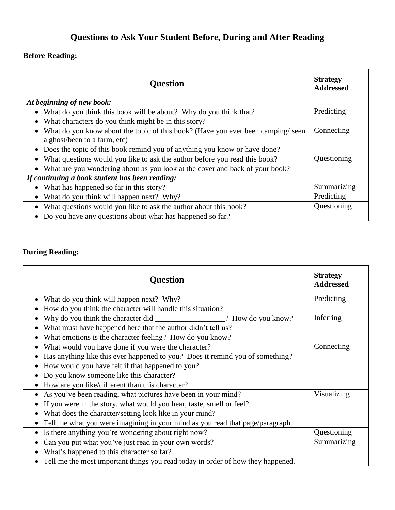## **Questions to Ask Your Student Before, During and After Reading**

## **Before Reading:**

| <b>Question</b>                                                                 | <b>Strategy</b><br><b>Addressed</b> |
|---------------------------------------------------------------------------------|-------------------------------------|
| At beginning of new book:                                                       |                                     |
| What do you think this book will be about? Why do you think that?               | Predicting                          |
| What characters do you think might be in this story?                            |                                     |
| What do you know about the topic of this book? (Have you ever been camping/seen | Connecting                          |
| a ghost/been to a farm, etc)                                                    |                                     |
| • Does the topic of this book remind you of anything you know or have done?     |                                     |
| • What questions would you like to ask the author before you read this book?    | Questioning                         |
| What are you wondering about as you look at the cover and back of your book?    |                                     |
| If continuing a book student has been reading:                                  |                                     |
| What has happened so far in this story?                                         | Summarizing                         |
| What do you think will happen next? Why?                                        | Predicting                          |
| What questions would you like to ask the author about this book?                | Questioning                         |
| Do you have any questions about what has happened so far?                       |                                     |

## **During Reading:**

| <b>Question</b>                                                                   | <b>Strategy</b><br><b>Addressed</b> |
|-----------------------------------------------------------------------------------|-------------------------------------|
| What do you think will happen next? Why?                                          | Predicting                          |
| How do you think the character will handle this situation?                        |                                     |
|                                                                                   | Inferring                           |
| What must have happened here that the author didn't tell us?                      |                                     |
| What emotions is the character feeling? How do you know?                          |                                     |
| What would you have done if you were the character?                               | Connecting                          |
| Has anything like this ever happened to you? Does it remind you of something?     |                                     |
| How would you have felt if that happened to you?                                  |                                     |
| Do you know someone like this character?                                          |                                     |
| How are you like/different than this character?                                   |                                     |
| As you've been reading, what pictures have been in your mind?                     | Visualizing                         |
| If you were in the story, what would you hear, taste, smell or feel?              |                                     |
| What does the character/setting look like in your mind?                           |                                     |
| Tell me what you were imagining in your mind as you read that page/paragraph.     |                                     |
| Is there anything you're wondering about right now?                               | Questioning                         |
| Can you put what you've just read in your own words?                              | Summarizing                         |
| What's happened to this character so far?                                         |                                     |
| • Tell me the most important things you read today in order of how they happened. |                                     |